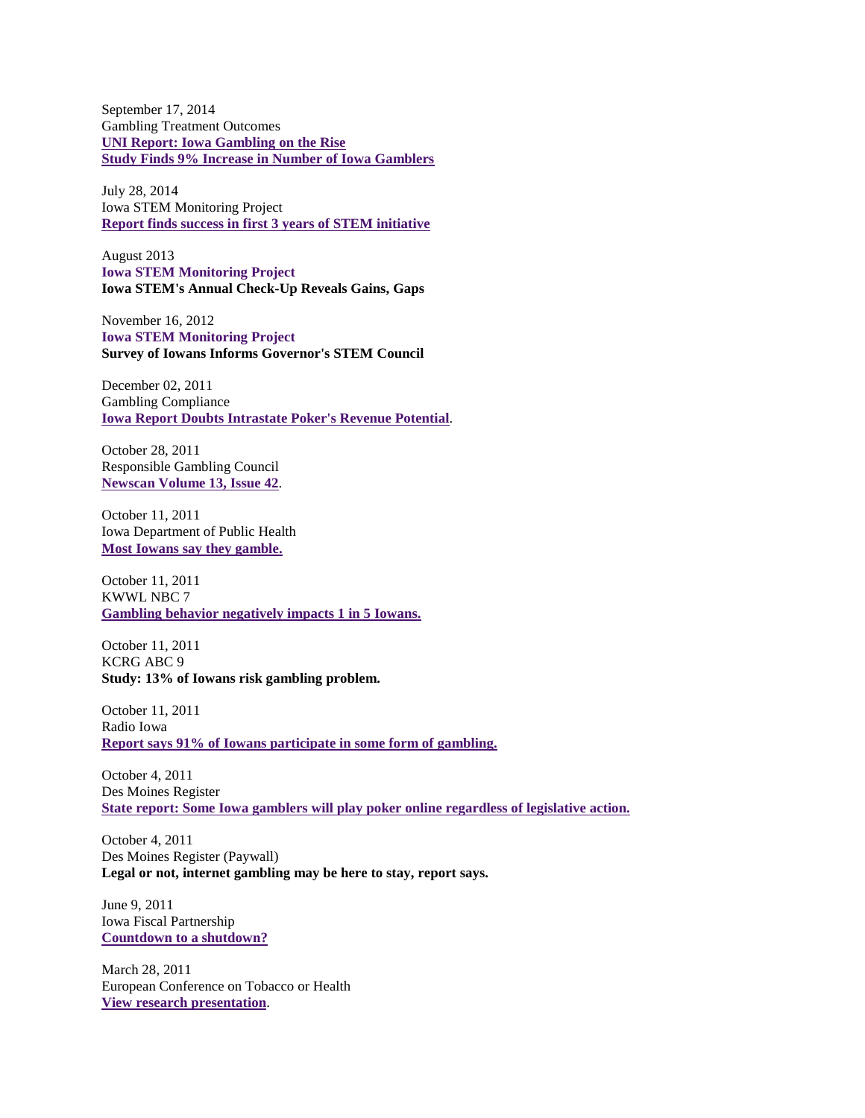September 17, 2014 Gambling Treatment Outcomes **UNI Report: Iowa [Gambling](http://wcfcourier.com/news/local/govt-and-politics/uni-report-iowa-gambling-on-the-rise/article_5ba01ecf-243f-5b02-abf3-8cbb4bfbe9c0.html) on the Rise Study Finds 9% Increase in Number of Iowa [Gamblers](http://siouxcityjournal.com/news/state-and-regional/iowa/study-finds-percent-increase-in-number-of-iowa-gamblers/article_1d4aa753-6a50-5f9a-8da7-8a23e3a6ad3e.html)**

July 28, 2014 Iowa STEM Monitoring Project **Report finds success in first 3 years of STEM [initiative](http://www.radioiowa.com/2014/07/28/report-finds-success-in-first-3-years-of-stem-initiative/)**

August 2013 **Iowa STEM [Monitoring](http://www.iowastem.gov/sites/default/files/advisory-council/Documents-and-Handouts/2014-09-12_Monitoring-Yr2Rpt_AdvCouncil_FINAL.pdf) Project Iowa STEM's Annual Check-Up Reveals Gains, Gaps**

November 16, 2012 **Iowa STEM [Monitoring](http://www.iowastem.gov/sites/default/files/advisory-council/Documents-and-Handouts/2014-09-12_Monitoring-Yr2Rpt_AdvCouncil_FINAL.pdf) Project Survey of Iowans Informs Governor's STEM Council**

December 02, 2011 Gambling Compliance **Iowa Report Doubts [Intrastate](https://csbr.uni.edu/sites/default/files/Iowa_Report_Doubts_Intrastate_Poker___s_Revenue_Potential.pdf) Poker's Revenue Potential**.

October 28, 2011 Responsible Gambling Council **[Newscan](http://www.responsiblegambling.org/newscan/) Volume 13, Issue 42**.

October 11, 2011 Iowa Department of Public Health **Most Iowans say they [gamble.](http://www.kcci.com/article/report-69-percent-of-iowans-gambled-in-past-year/6865324)**

October 11, 2011 KWWL NBC 7 **Gambling behavior [negatively](http://www.kwwl.com/story/15670929/new-study-suggests-gambling-negatively-impacts-1-in-5-iowans) impacts 1 in 5 Iowans.**

October 11, 2011 KCRG ABC 9 **Study: 13% of Iowans risk gambling problem.**

October 11, 2011 Radio Iowa **Report says 91% of Iowans [participate](http://www.radioiowa.com/2011/10/11/report-says-91-of-iowans-participate-in-some-form-of-gambling/) in some form of gambling.**

October 4, 2011 Des Moines Register **State report: Some Iowa gamblers will play poker online [regardless](http://blogs.desmoinesregister.com/dmr/index.php/2011/10/04/state-report-some-iowa-gamblers-will-play-poker-online-regardless-of-legislative-action/) of legislative action.**

October 4, 2011 Des Moines Register (Paywall) **Legal or not, internet gambling may be here to stay, report says.**

June 9, 2011 Iowa Fiscal Partnership **[Countdown](http://www.iowafiscal.org/2011research/110607-IFP-shutdown-bgd.html) to a shutdown?**

March 28, 2011 European Conference on Tobacco or Health **View research [presentation](http://www.europeancancerleagues.org/images/stories/pdf/TCS_2010.pdf)**.